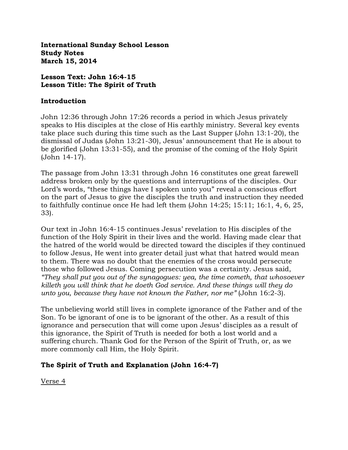**International Sunday School Lesson Study Notes March 15, 2014**

### **Lesson Text: John 16:4-15 Lesson Title: The Spirit of Truth**

#### **Introduction**

John 12:36 through John 17:26 records a period in which Jesus privately speaks to His disciples at the close of His earthly ministry. Several key events take place such during this time such as the Last Supper (John 13:1-20), the dismissal of Judas (John 13:21-30), Jesus' announcement that He is about to be glorified (John 13:31-55), and the promise of the coming of the Holy Spirit (John 14-17).

The passage from John 13:31 through John 16 constitutes one great farewell address broken only by the questions and interruptions of the disciples. Our Lord's words, "these things have I spoken unto you" reveal a conscious effort on the part of Jesus to give the disciples the truth and instruction they needed to faithfully continue once He had left them (John 14:25; 15:11; 16:1, 4, 6, 25, 33).

Our text in John 16:4-15 continues Jesus' revelation to His disciples of the function of the Holy Spirit in their lives and the world. Having made clear that the hatred of the world would be directed toward the disciples if they continued to follow Jesus, He went into greater detail just what that hatred would mean to them. There was no doubt that the enemies of the cross would persecute those who followed Jesus. Coming persecution was a certainty. Jesus said, *"They shall put you out of the synagogues: yea, the time cometh, that whosoever killeth you will think that he doeth God service. And these things will they do unto you, because they have not known the Father, nor me"* (John 16:2-3).

The unbelieving world still lives in complete ignorance of the Father and of the Son. To be ignorant of one is to be ignorant of the other. As a result of this ignorance and persecution that will come upon Jesus' disciples as a result of this ignorance, the Spirit of Truth is needed for both a lost world and a suffering church. Thank God for the Person of the Spirit of Truth, or, as we more commonly call Him, the Holy Spirit.

## **The Spirit of Truth and Explanation (John 16:4-7)**

Verse 4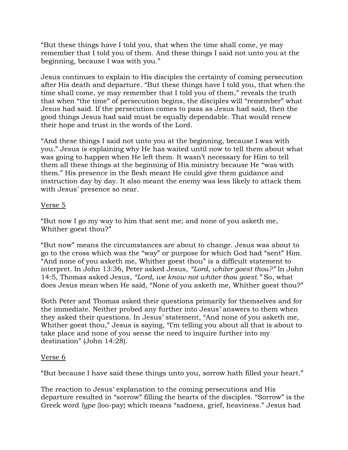"But these things have I told you, that when the time shall come, ye may remember that I told you of them. And these things I said not unto you at the beginning, because I was with you."

Jesus continues to explain to His disciples the certainty of coming persecution after His death and departure. "But these things have I told you, that when the time shall come, ye may remember that I told you of them," reveals the truth that when "the time" of persecution begins, the disciples will "remember" what Jesus had said. If the persecution comes to pass as Jesus had said, then the good things Jesus had said must be equally dependable. That would renew their hope and trust in the words of the Lord.

"And these things I said not unto you at the beginning, because I was with you." Jesus is explaining why He has waited until now to tell them about what was going to happen when He left them. It wasn't necessary for Him to tell them all these things at the beginning of His ministry because He "was with them." His presence in the flesh meant He could give them guidance and instruction day by day. It also meant the enemy was less likely to attack them with Jesus' presence so near.

#### Verse 5

"But now I go my way to him that sent me; and none of you asketh me, Whither goest thou?"

"But now" means the circumstances are about to change. Jesus was about to go to the cross which was the "way" or purpose for which God had "sent" Him. "And none of you asketh me, Whither goest thou" is a difficult statement to interpret. In John 13:36, Peter asked Jesus, *"Lord, whiter goest thou?"* In John 14:5, Thomas asked Jesus, *"Lord, we know not whiter thou goest."* So, what does Jesus mean when He said, "None of you asketh me, Whither goest thou?"

Both Peter and Thomas asked their questions primarily for themselves and for the immediate. Neither probed any further into Jesus' answers to them when they asked their questions. In Jesus' statement, "And none of you asketh me, Whither goest thou," Jesus is saying, "I'm telling you about all that is about to take place and none of you sense the need to inquire further into my destination" (John 14:28).

#### Verse 6

"But because I have said these things unto you, sorrow hath filled your heart."

The reaction to Jesus' explanation to the coming persecutions and His departure resulted in "sorrow" filling the hearts of the disciples. "Sorrow" is the Greek word *lype* {loo-pay} which means "sadness, grief, heaviness." Jesus had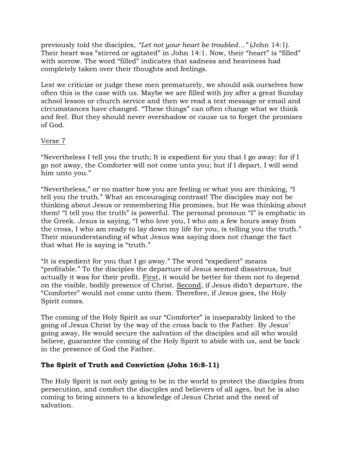previously told the disciples, *"Let not your heart be troubled…"* (John 14:1). Their heart was "stirred or agitated" in John 14:1. Now, their "heart" is "filled" with sorrow. The word "filled" indicates that sadness and heaviness had completely taken over their thoughts and feelings.

Lest we criticize or judge these men prematurely, we should ask ourselves how often this is the case with us. Maybe we are filled with joy after a great Sunday school lesson or church service and then we read a text message or email and circumstances have changed. "These things" can often change what we think and feel. But they should never overshadow or cause us to forget the promises of God.

# Verse 7

"Nevertheless I tell you the truth; It is expedient for you that I go away: for if I go not away, the Comforter will not come unto you; but if I depart, I will send him unto you."

"Nevertheless," or no matter how you are feeling or what you are thinking, "I tell you the truth." What an encouraging contrast! The disciples may not be thinking about Jesus or remembering His promises, but He was thinking about them! "I tell you the truth" is powerful. The personal pronoun "I" is emphatic in the Greek. Jesus is saying, "I who love you, I who am a few hours away from the cross, I who am ready to lay down my life for you, is telling you the truth." Their misunderstanding of what Jesus was saying does not change the fact that what He is saying is "truth."

"It is expedient for you that I go away." The word "expedient" means "profitable." To the disciples the departure of Jesus seemed disastrous, but actually it was for their profit. First, it would be better for them not to depend on the visible, bodily presence of Christ. Second, if Jesus didn't departure, the "Comforter" would not come unto them. Therefore, if Jesus goes, the Holy Spirit comes.

The coming of the Holy Spirit as our "Comforter" is inseparably linked to the going of Jesus Christ by the way of the cross back to the Father. By Jesus' going away, He would secure the salvation of the disciples and all who would believe, guarantee the coming of the Holy Spirit to abide with us, and be back in the presence of God the Father.

# **The Spirit of Truth and Conviction (John 16:8-11)**

The Holy Spirit is not only going to be in the world to protect the disciples from persecution, and comfort the disciples and believers of all ages, but he is also coming to bring sinners to a knowledge of Jesus Christ and the need of salvation.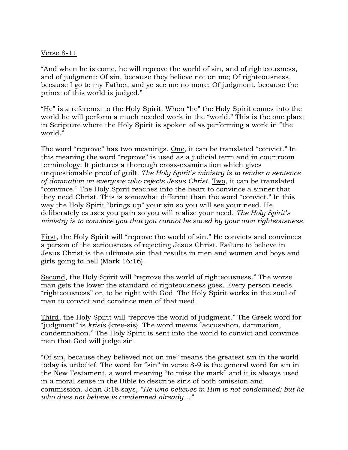#### Verse 8-11

"And when he is come, he will reprove the world of sin, and of righteousness, and of judgment: Of sin, because they believe not on me; Of righteousness, because I go to my Father, and ye see me no more; Of judgment, because the prince of this world is judged."

"He" is a reference to the Holy Spirit. When "he" the Holy Spirit comes into the world he will perform a much needed work in the "world." This is the one place in Scripture where the Holy Spirit is spoken of as performing a work in "the world."

The word "reprove" has two meanings. One, it can be translated "convict." In this meaning the word "reprove" is used as a judicial term and in courtroom terminology. It pictures a thorough cross-examination which gives unquestionable proof of guilt. *The Holy Spirit's ministry is to render a sentence of damnation on everyone who rejects Jesus Christ.* Two, it can be translated "convince." The Holy Spirit reaches into the heart to convince a sinner that they need Christ. This is somewhat different than the word "convict." In this way the Holy Spirit "brings up" your sin so you will see your need. He deliberately causes you pain so you will realize your need. *The Holy Spirit's ministry is to convince you that you cannot be saved by your own righteousness.*

First, the Holy Spirit will "reprove the world of sin." He convicts and convinces a person of the seriousness of rejecting Jesus Christ. Failure to believe in Jesus Christ is the ultimate sin that results in men and women and boys and girls going to hell (Mark 16:16).

Second, the Holy Spirit will "reprove the world of righteousness." The worse man gets the lower the standard of righteousness goes. Every person needs "righteousness" or, to be right with God. The Holy Spirit works in the soul of man to convict and convince men of that need.

Third, the Holy Spirit will "reprove the world of judgment." The Greek word for "judgment" is *krisis* {kree-sis}. The word means "accusation, damnation, condemnation." The Holy Spirit is sent into the world to convict and convince men that God will judge sin.

"Of sin, because they believed not on me" means the greatest sin in the world today is unbelief. The word for "sin" in verse 8-9 is the general word for sin in the New Testament, a word meaning "to miss the mark" and it is always used in a moral sense in the Bible to describe sins of both omission and commission. John 3:18 says, *"He who believes in Him is not condemned; but he who does not believe is condemned already…"*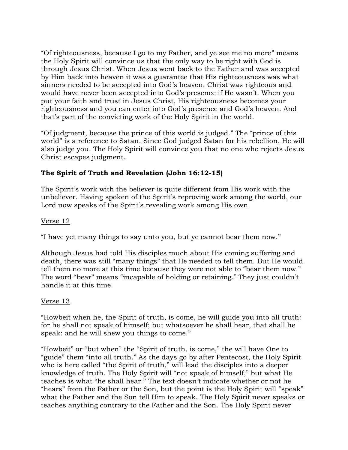"Of righteousness, because I go to my Father, and ye see me no more" means the Holy Spirit will convince us that the only way to be right with God is through Jesus Christ. When Jesus went back to the Father and was accepted by Him back into heaven it was a guarantee that His righteousness was what sinners needed to be accepted into God's heaven. Christ was righteous and would have never been accepted into God's presence if He wasn't. When you put your faith and trust in Jesus Christ, His righteousness becomes your righteousness and you can enter into God's presence and God's heaven. And that's part of the convicting work of the Holy Spirit in the world.

"Of judgment, because the prince of this world is judged." The "prince of this world" is a reference to Satan. Since God judged Satan for his rebellion, He will also judge you. The Holy Spirit will convince you that no one who rejects Jesus Christ escapes judgment.

## **The Spirit of Truth and Revelation (John 16:12-15)**

The Spirit's work with the believer is quite different from His work with the unbeliever. Having spoken of the Spirit's reproving work among the world, our Lord now speaks of the Spirit's revealing work among His own.

### Verse 12

"I have yet many things to say unto you, but ye cannot bear them now."

Although Jesus had told His disciples much about His coming suffering and death, there was still "many things" that He needed to tell them. But He would tell them no more at this time because they were not able to "bear them now." The word "bear" means "incapable of holding or retaining." They just couldn't handle it at this time.

#### Verse 13

"Howbeit when he, the Spirit of truth, is come, he will guide you into all truth: for he shall not speak of himself; but whatsoever he shall hear, that shall he speak: and he will shew you things to come."

"Howbeit" or "but when" the "Spirit of truth, is come," the will have One to "guide" them "into all truth." As the days go by after Pentecost, the Holy Spirit who is here called "the Spirit of truth," will lead the disciples into a deeper knowledge of truth. The Holy Spirit will "not speak of himself," but what He teaches is what "he shall hear." The text doesn't indicate whether or not he "hears" from the Father or the Son, but the point is the Holy Spirit will "speak" what the Father and the Son tell Him to speak. The Holy Spirit never speaks or teaches anything contrary to the Father and the Son. The Holy Spirit never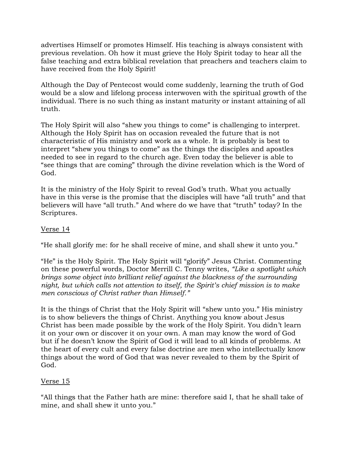advertises Himself or promotes Himself. His teaching is always consistent with previous revelation. Oh how it must grieve the Holy Spirit today to hear all the false teaching and extra biblical revelation that preachers and teachers claim to have received from the Holy Spirit!

Although the Day of Pentecost would come suddenly, learning the truth of God would be a slow and lifelong process interwoven with the spiritual growth of the individual. There is no such thing as instant maturity or instant attaining of all truth.

The Holy Spirit will also "shew you things to come" is challenging to interpret. Although the Holy Spirit has on occasion revealed the future that is not characteristic of His ministry and work as a whole. It is probably is best to interpret "shew you things to come" as the things the disciples and apostles needed to see in regard to the church age. Even today the believer is able to "see things that are coming" through the divine revelation which is the Word of God.

It is the ministry of the Holy Spirit to reveal God's truth. What you actually have in this verse is the promise that the disciples will have "all truth" and that believers will have "all truth." And where do we have that "truth" today? In the Scriptures.

## Verse 14

"He shall glorify me: for he shall receive of mine, and shall shew it unto you."

"He" is the Holy Spirit. The Holy Spirit will "glorify" Jesus Christ. Commenting on these powerful words, Doctor Merrill C. Tenny writes, *"Like a spotlight which brings some object into brilliant relief against the blackness of the surrounding night, but which calls not attention to itself, the Spirit's chief mission is to make men conscious of Christ rather than Himself."*

It is the things of Christ that the Holy Spirit will "shew unto you." His ministry is to show believers the things of Christ. Anything you know about Jesus Christ has been made possible by the work of the Holy Spirit. You didn't learn it on your own or discover it on your own. A man may know the word of God but if he doesn't know the Spirit of God it will lead to all kinds of problems. At the heart of every cult and every false doctrine are men who intellectually know things about the word of God that was never revealed to them by the Spirit of God.

## Verse 15

"All things that the Father hath are mine: therefore said I, that he shall take of mine, and shall shew it unto you."